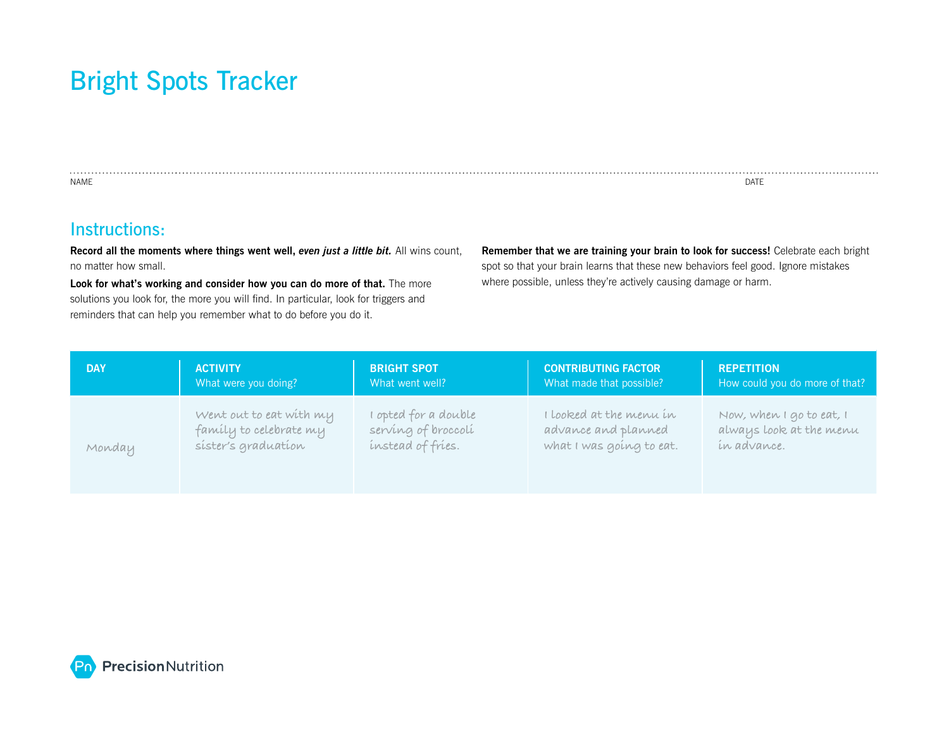## Bright Spots Tracker

NAME DATE

## Instructions:

**Record all the moments where things went well,** *even just a little bit.* All wins count, no matter how small.

**Look for what's working and consider how you can do more of that.** The more solutions you look for, the more you will find. In particular, look for triggers and reminders that can help you remember what to do before you do it.

**Remember that we are training your brain to look for success!** Celebrate each bright spot so that your brain learns that these new behaviors feel good. Ignore mistakes where possible, unless they're actively causing damage or harm.

. . . . . . .

| <b>DAY</b> | <b>ACTIVITY</b>         | <b>BRIGHT SPOT</b>   | <b>CONTRIBUTING FACTOR</b> | <b>REPETITION</b>              |
|------------|-------------------------|----------------------|----------------------------|--------------------------------|
|            | What were you doing?    | What went well?      | What made that possible?   | How could you do more of that? |
| Monday     | Went out to eat with my | I opted for a double | I looked at the menu in    | Now, when I go to eat, I       |
|            | family to celebrate my  | serving of broccoli  | advance and planned        | always look at the menu        |
|            | sister's graduation     | instead of fries.    | what I was going to eat.   | in advance.                    |